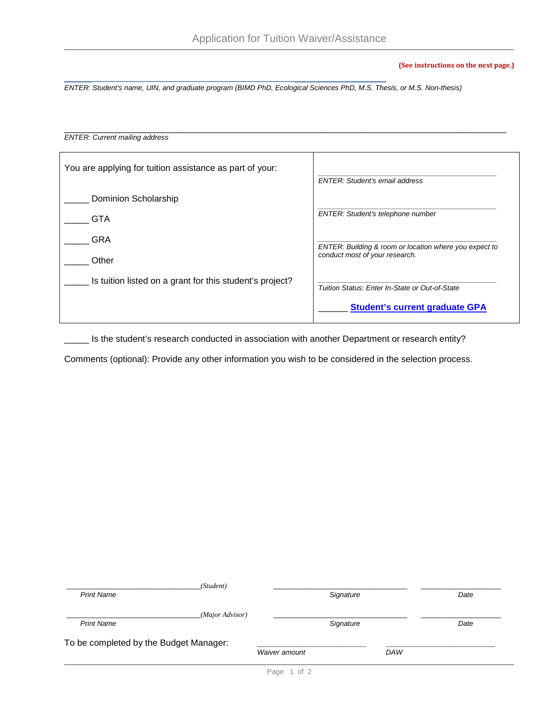## **(See instructions on the next page.)**

**\_\_\_\_\_\_\_\_\_\_\_\_\_\_\_\_\_\_\_\_\_\_\_\_\_\_\_\_\_\_\_\_\_\_\_\_\_\_\_\_\_\_\_\_\_\_\_\_\_\_\_\_\_\_\_\_\_\_\_\_\_\_\_\_\_\_\_\_\_\_\_\_\_\_\_\_\_\_\_\_\_\_\_\_\_\_\_** *ENTER: Student's name, UIN, and graduate program (BIMD PhD, Ecological Sciences PhD, M.S. Thesis, or M.S. Non-thesis)*

## \_\_\_\_\_\_\_\_\_\_\_\_\_\_\_\_\_\_\_\_\_\_\_\_\_\_\_\_\_\_\_\_\_\_\_\_\_\_\_\_\_\_\_\_\_\_\_\_\_\_\_\_\_\_\_\_\_\_\_\_\_\_\_\_\_\_\_\_\_\_\_\_\_\_\_\_\_\_\_\_\_\_\_\_\_\_\_\_\_ *ENTER: Current mailing address*

| You are applying for tuition assistance as part of your: | <b>ENTER: Student's email address</b>                  |
|----------------------------------------------------------|--------------------------------------------------------|
| Dominion Scholarship                                     |                                                        |
| <b>GTA</b>                                               | ENTER: Student's telephone number                      |
| GRA                                                      | ENTER: Building & room or location where you expect to |
| Other                                                    | conduct most of your research.                         |
| Is tuition listed on a grant for this student's project? | Tuition Status: Enter In-State or Out-of-State         |
|                                                          | <b>Student's current graduate GPA</b>                  |

\_\_\_\_\_ Is the student's research conducted in association with another Department or research entity?

Comments (optional): Provide any other information you wish to be considered in the selection process.

| (Student)                              |               |            |      |
|----------------------------------------|---------------|------------|------|
| <b>Print Name</b>                      | Signature     |            | Date |
| (Major Advisor)                        |               |            |      |
| <b>Print Name</b>                      | Signature     |            | Date |
| To be completed by the Budget Manager: |               |            |      |
|                                        | Waiver amount | <b>DAW</b> |      |
|                                        |               |            |      |